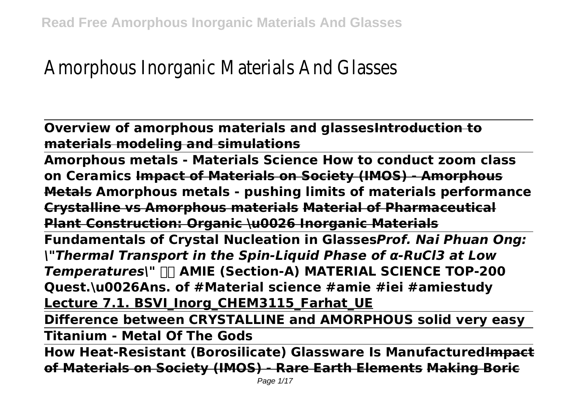# Amorphous Inorganic Materials And Glasses

**Overview of amorphous materials and glassesIntroduction to materials modeling and simulations**

**Amorphous metals - Materials Science How to conduct zoom class on Ceramics Impact of Materials on Society (IMOS) - Amorphous Metals Amorphous metals - pushing limits of materials performance Crystalline vs Amorphous materials Material of Pharmaceutical Plant Construction: Organic \u0026 Inorganic Materials**

**Fundamentals of Crystal Nucleation in Glasses***Prof. Nai Phuan Ong: \"Thermal Transport in the Spin-Liquid Phase of α-RuCl3 at Low Temperatures\"* **AMIE (Section-A) MATERIAL SCIENCE TOP-200 Quest.\u0026Ans. of #Material science #amie #iei #amiestudy Lecture 7.1. BSVI Inorg CHEM3115 Farhat UE** 

**Difference between CRYSTALLINE and AMORPHOUS solid very easy Titanium - Metal Of The Gods**

**How Heat-Resistant (Borosilicate) Glassware Is ManufacturedImpact of Materials on Society (IMOS) - Rare Earth Elements Making Boric**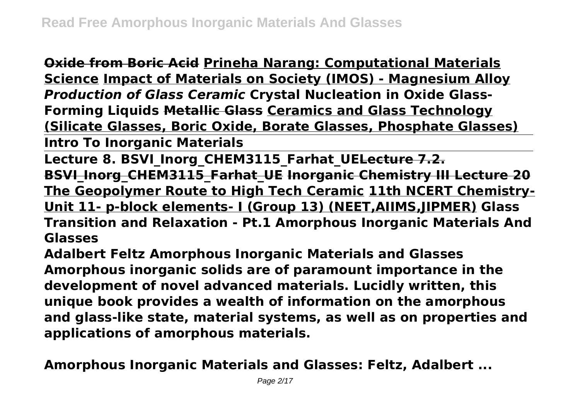**Oxide from Boric Acid Prineha Narang: Computational Materials Science Impact of Materials on Society (IMOS) - Magnesium Alloy** *Production of Glass Ceramic* **Crystal Nucleation in Oxide Glass-Forming Liquids Metallic Glass Ceramics and Glass Technology (Silicate Glasses, Boric Oxide, Borate Glasses, Phosphate Glasses)**

**Intro To Inorganic Materials**

Lecture 8. BSVI Inorg CHEM3115 Farhat UELecture 7.2. **BSVI\_Inorg\_CHEM3115\_Farhat\_UE Inorganic Chemistry III Lecture 20 The Geopolymer Route to High Tech Ceramic 11th NCERT Chemistry-Unit 11- p-block elements- I (Group 13) (NEET,AIIMS,JIPMER) Glass Transition and Relaxation - Pt.1 Amorphous Inorganic Materials And Glasses**

**Adalbert Feltz Amorphous Inorganic Materials and Glasses Amorphous inorganic solids are of paramount importance in the development of novel advanced materials. Lucidly written, this unique book provides a wealth of information on the amorphous and glass-like state, material systems, as well as on properties and applications of amorphous materials.**

**Amorphous Inorganic Materials and Glasses: Feltz, Adalbert ...**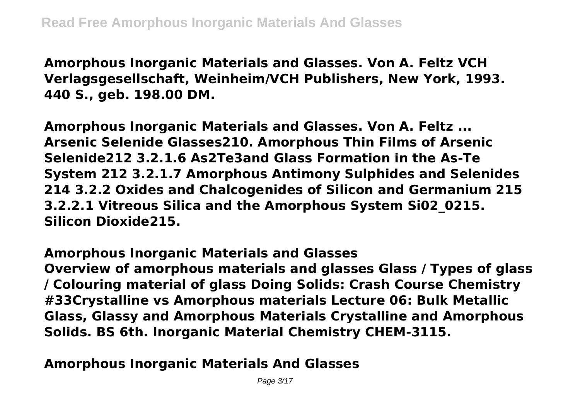**Amorphous Inorganic Materials and Glasses. Von A. Feltz VCH Verlagsgesellschaft, Weinheim/VCH Publishers, New York, 1993. 440 S., geb. 198.00 DM.**

**Amorphous Inorganic Materials and Glasses. Von A. Feltz ... Arsenic Selenide Glasses210. Amorphous Thin Films of Arsenic Selenide212 3.2.1.6 As2Te3and Glass Formation in the As-Te System 212 3.2.1.7 Amorphous Antimony Sulphides and Selenides 214 3.2.2 Oxides and Chalcogenides of Silicon and Germanium 215 3.2.2.1 Vitreous Silica and the Amorphous System Si02\_0215. Silicon Dioxide215.**

**Amorphous Inorganic Materials and Glasses**

**Overview of amorphous materials and glasses Glass / Types of glass / Colouring material of glass Doing Solids: Crash Course Chemistry #33Crystalline vs Amorphous materials Lecture 06: Bulk Metallic Glass, Glassy and Amorphous Materials Crystalline and Amorphous Solids. BS 6th. Inorganic Material Chemistry CHEM-3115.**

**Amorphous Inorganic Materials And Glasses**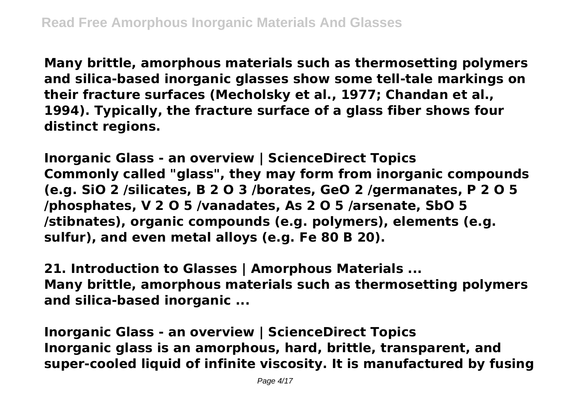**Many brittle, amorphous materials such as thermosetting polymers and silica-based inorganic glasses show some tell-tale markings on their fracture surfaces (Mecholsky et al., 1977; Chandan et al., 1994). Typically, the fracture surface of a glass fiber shows four distinct regions.**

**Inorganic Glass - an overview | ScienceDirect Topics Commonly called "glass", they may form from inorganic compounds (e.g. SiO 2 /silicates, B 2 O 3 /borates, GeO 2 /germanates, P 2 O 5 /phosphates, V 2 O 5 /vanadates, As 2 O 5 /arsenate, SbO 5 /stibnates), organic compounds (e.g. polymers), elements (e.g. sulfur), and even metal alloys (e.g. Fe 80 B 20).**

**21. Introduction to Glasses | Amorphous Materials ... Many brittle, amorphous materials such as thermosetting polymers and silica-based inorganic ...**

**Inorganic Glass - an overview | ScienceDirect Topics Inorganic glass is an amorphous, hard, brittle, transparent, and super-cooled liquid of infinite viscosity. It is manufactured by fusing**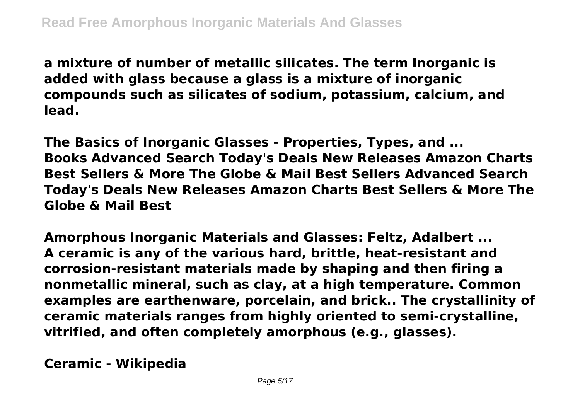**a mixture of number of metallic silicates. The term Inorganic is added with glass because a glass is a mixture of inorganic compounds such as silicates of sodium, potassium, calcium, and lead.**

**The Basics of Inorganic Glasses - Properties, Types, and ... Books Advanced Search Today's Deals New Releases Amazon Charts Best Sellers & More The Globe & Mail Best Sellers Advanced Search Today's Deals New Releases Amazon Charts Best Sellers & More The Globe & Mail Best**

**Amorphous Inorganic Materials and Glasses: Feltz, Adalbert ... A ceramic is any of the various hard, brittle, heat-resistant and corrosion-resistant materials made by shaping and then firing a nonmetallic mineral, such as clay, at a high temperature. Common examples are earthenware, porcelain, and brick.. The crystallinity of ceramic materials ranges from highly oriented to semi-crystalline, vitrified, and often completely amorphous (e.g., glasses).**

**Ceramic - Wikipedia**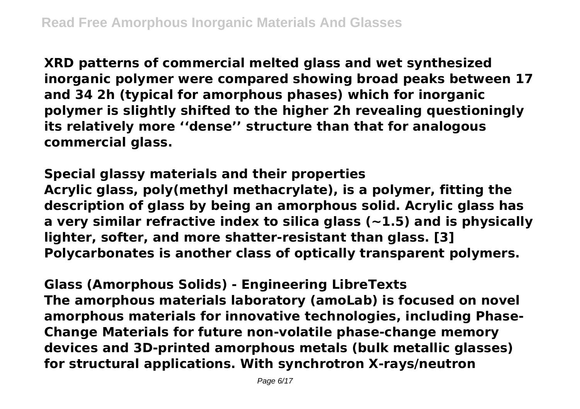**XRD patterns of commercial melted glass and wet synthesized inorganic polymer were compared showing broad peaks between 17 and 34 2h (typical for amorphous phases) which for inorganic polymer is slightly shifted to the higher 2h revealing questioningly its relatively more ''dense'' structure than that for analogous commercial glass.**

**Special glassy materials and their properties Acrylic glass, poly(methyl methacrylate), is a polymer, fitting the description of glass by being an amorphous solid. Acrylic glass has a very similar refractive index to silica glass (~1.5) and is physically lighter, softer, and more shatter-resistant than glass. [3] Polycarbonates is another class of optically transparent polymers.**

**Glass (Amorphous Solids) - Engineering LibreTexts The amorphous materials laboratory (amoLab) is focused on novel amorphous materials for innovative technologies, including Phase-Change Materials for future non-volatile phase-change memory devices and 3D-printed amorphous metals (bulk metallic glasses) for structural applications. With synchrotron X-rays/neutron**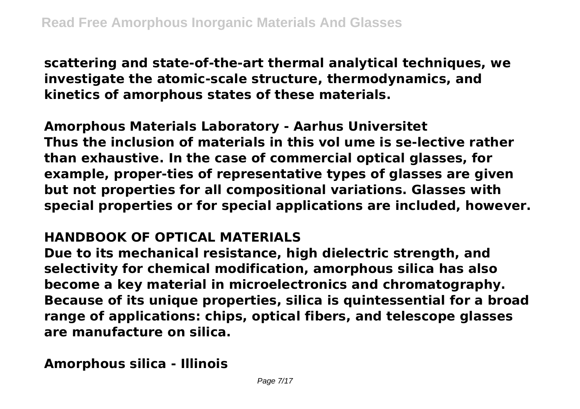**scattering and state-of-the-art thermal analytical techniques, we investigate the atomic-scale structure, thermodynamics, and kinetics of amorphous states of these materials.**

**Amorphous Materials Laboratory - Aarhus Universitet Thus the inclusion of materials in this vol ume is se-lective rather than exhaustive. In the case of commercial optical glasses, for example, proper-ties of representative types of glasses are given but not properties for all compositional variations. Glasses with special properties or for special applications are included, however.**

#### **HANDBOOK OF OPTICAL MATERIALS**

**Due to its mechanical resistance, high dielectric strength, and selectivity for chemical modification, amorphous silica has also become a key material in microelectronics and chromatography. Because of its unique properties, silica is quintessential for a broad range of applications: chips, optical fibers, and telescope glasses are manufacture on silica.**

**Amorphous silica - Illinois**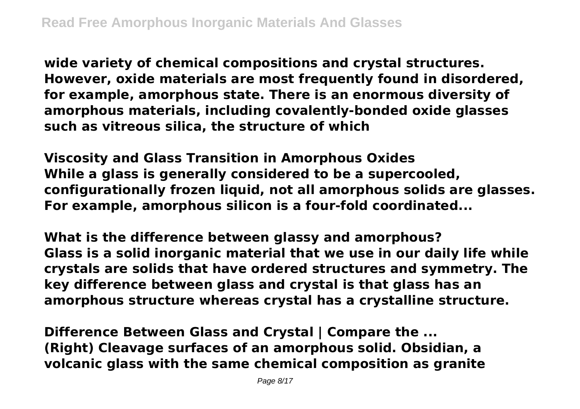**wide variety of chemical compositions and crystal structures. However, oxide materials are most frequently found in disordered, for example, amorphous state. There is an enormous diversity of amorphous materials, including covalently-bonded oxide glasses such as vitreous silica, the structure of which**

**Viscosity and Glass Transition in Amorphous Oxides While a glass is generally considered to be a supercooled, configurationally frozen liquid, not all amorphous solids are glasses. For example, amorphous silicon is a four-fold coordinated...**

**What is the difference between glassy and amorphous? Glass is a solid inorganic material that we use in our daily life while crystals are solids that have ordered structures and symmetry. The key difference between glass and crystal is that glass has an amorphous structure whereas crystal has a crystalline structure.**

**Difference Between Glass and Crystal | Compare the ... (Right) Cleavage surfaces of an amorphous solid. Obsidian, a volcanic glass with the same chemical composition as granite**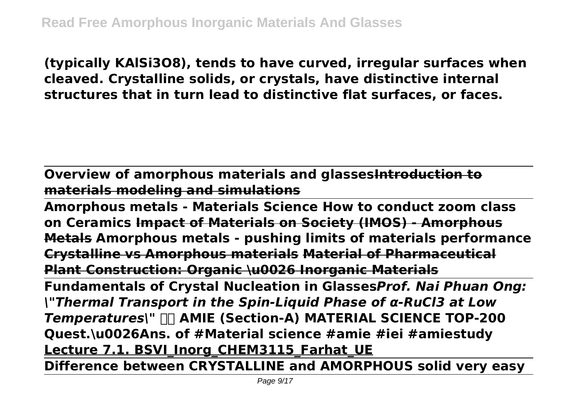**(typically KAlSi3O8), tends to have curved, irregular surfaces when cleaved. Crystalline solids, or crystals, have distinctive internal structures that in turn lead to distinctive flat surfaces, or faces.**

**Overview of amorphous materials and glassesIntroduction to materials modeling and simulations**

**Amorphous metals - Materials Science How to conduct zoom class on Ceramics Impact of Materials on Society (IMOS) - Amorphous Metals Amorphous metals - pushing limits of materials performance Crystalline vs Amorphous materials Material of Pharmaceutical Plant Construction: Organic \u0026 Inorganic Materials Fundamentals of Crystal Nucleation in Glasses***Prof. Nai Phuan Ong: \"Thermal Transport in the Spin-Liquid Phase of α-RuCl3 at Low Temperatures\"* **AMIE (Section-A) MATERIAL SCIENCE TOP-200 Quest.\u0026Ans. of #Material science #amie #iei #amiestudy Lecture 7.1. BSVI Inorg CHEM3115 Farhat UE** 

**Difference between CRYSTALLINE and AMORPHOUS solid very easy**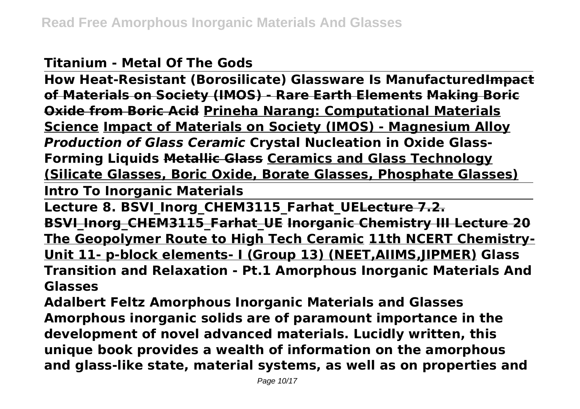#### **Titanium - Metal Of The Gods**

**How Heat-Resistant (Borosilicate) Glassware Is ManufacturedImpact of Materials on Society (IMOS) - Rare Earth Elements Making Boric Oxide from Boric Acid Prineha Narang: Computational Materials Science Impact of Materials on Society (IMOS) - Magnesium Alloy** *Production of Glass Ceramic* **Crystal Nucleation in Oxide Glass-Forming Liquids Metallic Glass Ceramics and Glass Technology (Silicate Glasses, Boric Oxide, Borate Glasses, Phosphate Glasses)**

**Intro To Inorganic Materials**

Lecture 8. BSVI Inorg CHEM3115 Farhat UELecture 7.2. **BSVI\_Inorg\_CHEM3115\_Farhat\_UE Inorganic Chemistry III Lecture 20 The Geopolymer Route to High Tech Ceramic 11th NCERT Chemistry-Unit 11- p-block elements- I (Group 13) (NEET,AIIMS,JIPMER) Glass Transition and Relaxation - Pt.1 Amorphous Inorganic Materials And Glasses**

**Adalbert Feltz Amorphous Inorganic Materials and Glasses Amorphous inorganic solids are of paramount importance in the development of novel advanced materials. Lucidly written, this unique book provides a wealth of information on the amorphous and glass-like state, material systems, as well as on properties and**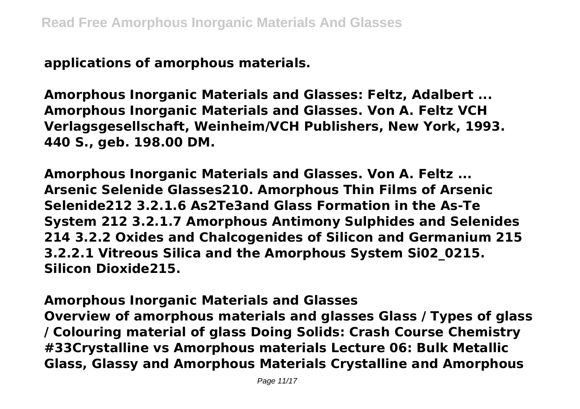**applications of amorphous materials.**

**Amorphous Inorganic Materials and Glasses: Feltz, Adalbert ... Amorphous Inorganic Materials and Glasses. Von A. Feltz VCH Verlagsgesellschaft, Weinheim/VCH Publishers, New York, 1993. 440 S., geb. 198.00 DM.**

**Amorphous Inorganic Materials and Glasses. Von A. Feltz ... Arsenic Selenide Glasses210. Amorphous Thin Films of Arsenic Selenide212 3.2.1.6 As2Te3and Glass Formation in the As-Te System 212 3.2.1.7 Amorphous Antimony Sulphides and Selenides 214 3.2.2 Oxides and Chalcogenides of Silicon and Germanium 215 3.2.2.1 Vitreous Silica and the Amorphous System Si02\_0215. Silicon Dioxide215.**

**Amorphous Inorganic Materials and Glasses Overview of amorphous materials and glasses Glass / Types of glass / Colouring material of glass Doing Solids: Crash Course Chemistry #33Crystalline vs Amorphous materials Lecture 06: Bulk Metallic Glass, Glassy and Amorphous Materials Crystalline and Amorphous**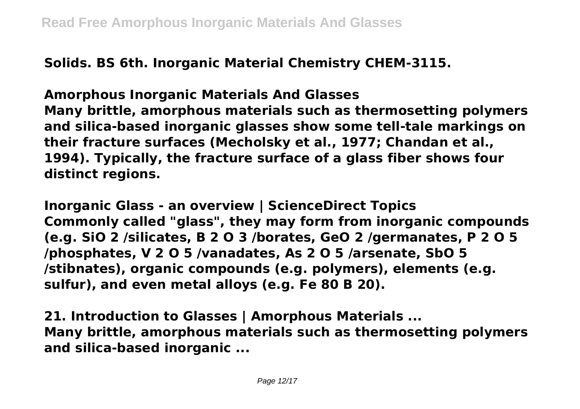**Solids. BS 6th. Inorganic Material Chemistry CHEM-3115.**

**Amorphous Inorganic Materials And Glasses Many brittle, amorphous materials such as thermosetting polymers and silica-based inorganic glasses show some tell-tale markings on their fracture surfaces (Mecholsky et al., 1977; Chandan et al., 1994). Typically, the fracture surface of a glass fiber shows four distinct regions.**

**Inorganic Glass - an overview | ScienceDirect Topics Commonly called "glass", they may form from inorganic compounds (e.g. SiO 2 /silicates, B 2 O 3 /borates, GeO 2 /germanates, P 2 O 5 /phosphates, V 2 O 5 /vanadates, As 2 O 5 /arsenate, SbO 5 /stibnates), organic compounds (e.g. polymers), elements (e.g. sulfur), and even metal alloys (e.g. Fe 80 B 20).**

**21. Introduction to Glasses | Amorphous Materials ... Many brittle, amorphous materials such as thermosetting polymers and silica-based inorganic ...**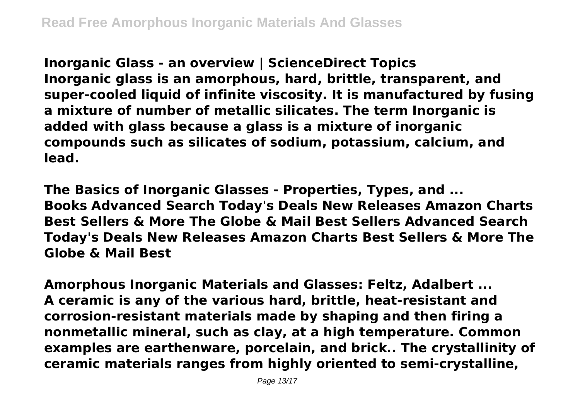**Inorganic Glass - an overview | ScienceDirect Topics Inorganic glass is an amorphous, hard, brittle, transparent, and super-cooled liquid of infinite viscosity. It is manufactured by fusing a mixture of number of metallic silicates. The term Inorganic is added with glass because a glass is a mixture of inorganic compounds such as silicates of sodium, potassium, calcium, and lead.**

**The Basics of Inorganic Glasses - Properties, Types, and ... Books Advanced Search Today's Deals New Releases Amazon Charts Best Sellers & More The Globe & Mail Best Sellers Advanced Search Today's Deals New Releases Amazon Charts Best Sellers & More The Globe & Mail Best**

**Amorphous Inorganic Materials and Glasses: Feltz, Adalbert ... A ceramic is any of the various hard, brittle, heat-resistant and corrosion-resistant materials made by shaping and then firing a nonmetallic mineral, such as clay, at a high temperature. Common examples are earthenware, porcelain, and brick.. The crystallinity of ceramic materials ranges from highly oriented to semi-crystalline,**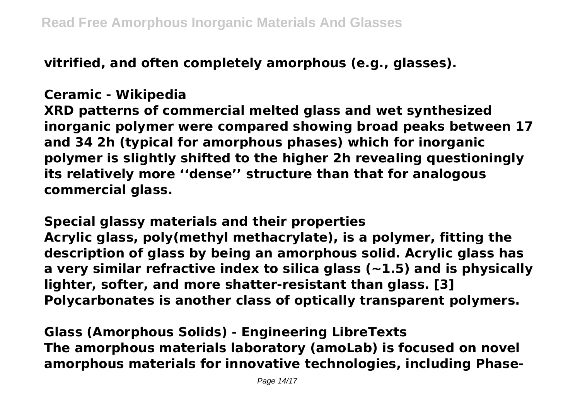**vitrified, and often completely amorphous (e.g., glasses).**

## **Ceramic - Wikipedia**

**XRD patterns of commercial melted glass and wet synthesized inorganic polymer were compared showing broad peaks between 17 and 34 2h (typical for amorphous phases) which for inorganic polymer is slightly shifted to the higher 2h revealing questioningly its relatively more ''dense'' structure than that for analogous commercial glass.**

**Special glassy materials and their properties Acrylic glass, poly(methyl methacrylate), is a polymer, fitting the description of glass by being an amorphous solid. Acrylic glass has a very similar refractive index to silica glass (~1.5) and is physically lighter, softer, and more shatter-resistant than glass. [3] Polycarbonates is another class of optically transparent polymers.**

**Glass (Amorphous Solids) - Engineering LibreTexts The amorphous materials laboratory (amoLab) is focused on novel amorphous materials for innovative technologies, including Phase-**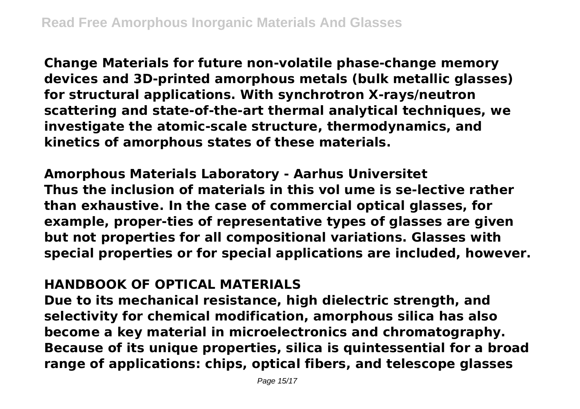**Change Materials for future non-volatile phase-change memory devices and 3D-printed amorphous metals (bulk metallic glasses) for structural applications. With synchrotron X-rays/neutron scattering and state-of-the-art thermal analytical techniques, we investigate the atomic-scale structure, thermodynamics, and kinetics of amorphous states of these materials.**

**Amorphous Materials Laboratory - Aarhus Universitet Thus the inclusion of materials in this vol ume is se-lective rather than exhaustive. In the case of commercial optical glasses, for example, proper-ties of representative types of glasses are given but not properties for all compositional variations. Glasses with special properties or for special applications are included, however.**

### **HANDBOOK OF OPTICAL MATERIALS**

**Due to its mechanical resistance, high dielectric strength, and selectivity for chemical modification, amorphous silica has also become a key material in microelectronics and chromatography. Because of its unique properties, silica is quintessential for a broad range of applications: chips, optical fibers, and telescope glasses**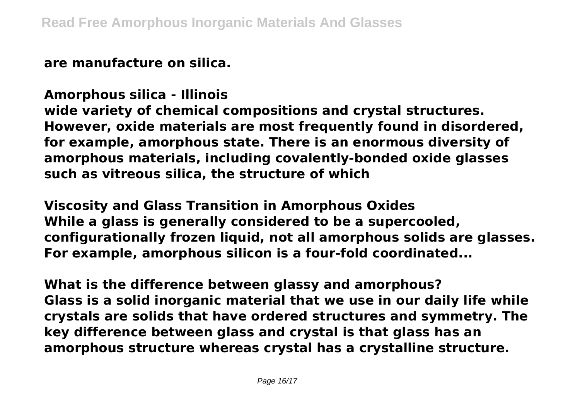**are manufacture on silica.**

**Amorphous silica - Illinois wide variety of chemical compositions and crystal structures. However, oxide materials are most frequently found in disordered, for example, amorphous state. There is an enormous diversity of amorphous materials, including covalently-bonded oxide glasses such as vitreous silica, the structure of which**

**Viscosity and Glass Transition in Amorphous Oxides While a glass is generally considered to be a supercooled, configurationally frozen liquid, not all amorphous solids are glasses. For example, amorphous silicon is a four-fold coordinated...**

**What is the difference between glassy and amorphous? Glass is a solid inorganic material that we use in our daily life while crystals are solids that have ordered structures and symmetry. The key difference between glass and crystal is that glass has an amorphous structure whereas crystal has a crystalline structure.**